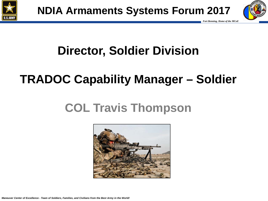



# **Director, Soldier Division**

# **TRADOC Capability Manager – Soldier**

## **COL Travis Thompson**

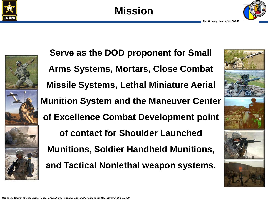







**Serve as the DOD proponent for Small Arms Systems, Mortars, Close Combat Missile Systems, Lethal Miniature Aerial Munition System and the Maneuver Center of Excellence Combat Development point of contact for Shoulder Launched Munitions, Soldier Handheld Munitions, and Tactical Nonlethal weapon systems.**

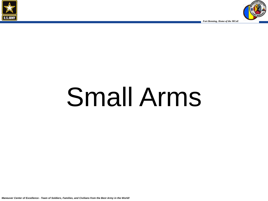



# Small Arms

*Maneuver Center of Excellence - Team of Soldiers, Families, and Civilians from the Best Army in the World!*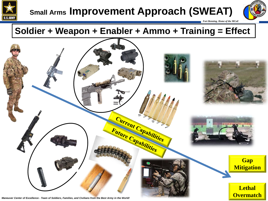

## **Small Arms Improvement Approach (SWEAT)**



 *Fort Benning, Home of the MCoE* 

### **Soldier + Weapon + Enabler + Ammo + Training = Effect**

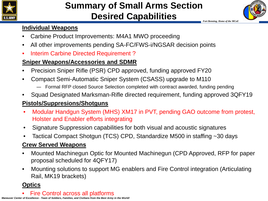

#### *Fort Benning, Home of the MCoE*  **Summary of Small Arms Section Desired Capabilities**



#### **Individual Weapons**

- Carbine Product Improvements: M4A1 MWO proceeding
- All other improvements pending SA-FC/FWS-i/NGSAR decision points
- Interim Carbine Directed Requirement ?

#### **Sniper Weapons/Accessories and SDMR**

- Precision Sniper Rifle (PSR) CPD approved, funding approved FY20
- Compact Semi-Automatic Sniper System (CSASS) upgrade to M110
	- ― Formal RFP closed Source Selection completed with contract awarded, funding pending
- Squad Designated Marksman-Rifle directed requirement, funding approved 3QFY19

#### **Pistols/Suppresions/Shotguns**

- Modular Handgun System (MHS) XM17 in PVT, pending GAO outcome from protest, Holster and Enabler efforts integrating
- Signature Suppression capabilities for both visual and acoustic signatures
- Tactical Compact Shotgun (TCS) CPD, Standardize M500 in staffing ~30 days

#### **Crew Served Weapons**

- Mounted Machinegun Optic for Mounted Machinegun (CPD Approved, RFP for paper proposal scheduled for 4QFY17)
- Mounting solutions to support MG enablers and Fire Control integration (Articulating Rail, MK19 brackets)

#### **Optics**

• Fire Control across all platforms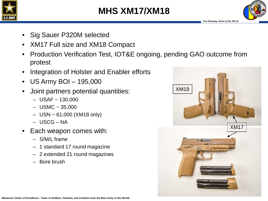





- Sig Sauer P320M selected
- XM17 Full size and XM18 Compact
- Production Verification Test, IOT&E ongoing, pending GAO outcome from protest
- Integration of Holster and Enabler efforts
- US Army BOI 195,000
- Joint partners potential quantities:
	- $-$  USAF  $\sim$  130,000
	- $-$  USMC  $\sim$  35,000
	- $-$  USN  $\sim$  61,000 (XM18 only)
	- USCG NA
- Each weapon comes with:
	- S/M/L frame
	- 1 standard 17 round magazine
	- 2 extended 21 round magazines
	- Bore brush

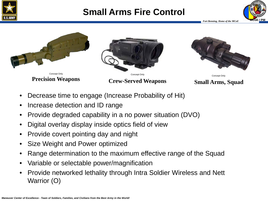

## **Small Arms Fire Control PM**





- Decrease time to engage (Increase Probability of Hit)
- Increase detection and ID range
- Provide degraded capability in a no power situation (DVO)
- Digital overlay display inside optics field of view
- Provide covert pointing day and night
- Size Weight and Power optimized
- Range determination to the maximum effective range of the Squad
- Variable or selectable power/magnification
- Provide networked lethality through Intra Soldier Wireless and Nett Warrior (O)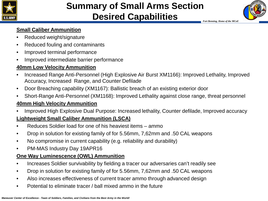

## **Summary of Small Arms Section Desired Capabilities**



 *Fort Benning, Home of the MCoE* 

#### **Small Caliber Ammunition**

- Reduced weight/signature
- Reduced fouling and contaminants
- Improved terminal performance
- Improved intermediate barrier performance

#### **40mm Low Velocity Ammunition**

- Increased Range Anti-Personnel (High Explosive Air Burst XM1166): Improved Lethality, Improved Accuracy, Increased Range, and Counter Defilade
- Door Breaching capability (XM1167): Ballistic breach of an existing exterior door
- Short-Range Anti-Personnel (XM1168): Improved Lethality against close range, threat personnel

#### **40mm High Velocity Ammunition**

• Improved High Explosive Dual Purpose: Increased lethality, Counter defilade, Improved accuracy

#### **Lightweight Small Caliber Ammunition (LSCA)**

- Reduces Soldier load for one of his heaviest items ammo
- Drop in solution for existing family of for 5.56mm, 7,62mm and .50 CAL weapons
- No compromise in current capability (e.g. reliability and durability)
- PM-MAS Industry Day 19APR16

#### **One Way Luminescence (OWL) Ammunition**

- Increases Soldier survivability by fielding a tracer our adversaries can't readily see
- Drop in solution for existing family of for 5.56mm, 7,62mm and .50 CAL weapons
- Also increases effectiveness of current tracer ammo through advanced design
- Potential to eliminate tracer / ball mixed ammo in the future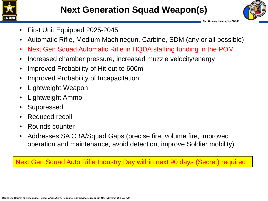



- First Unit Equipped 2025-2045
- Automatic Rifle, Medium Machinegun, Carbine, SDM (any or all possible)
- Next Gen Squad Automatic Rifle in HQDA staffing funding in the POM
- Increased chamber pressure, increased muzzle velocity/energy
- Improved Probability of Hit out to 600m
- Improved Probability of Incapacitation
- Lightweight Weapon
- Lightweight Ammo
- **Suppressed**
- Reduced recoil
- Rounds counter
- Addresses SA CBA/Squad Gaps (precise fire, volume fire, improved operation and maintenance, avoid detection, improve Soldier mobility)

Next Gen Squad Auto Rifle Industry Day within next 90 days (Secret) required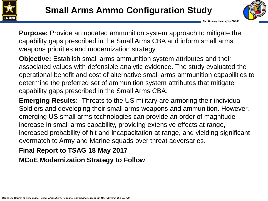



**Purpose:** Provide an updated ammunition system approach to mitigate the capability gaps prescribed in the Small Arms CBA and inform small arms weapons priorities and modernization strategy

**Objective:** Establish small arms ammunition system attributes and their associated values with defensible analytic evidence. The study evaluated the operational benefit and cost of alternative small arms ammunition capabilities to determine the preferred set of ammunition system attributes that mitigate capability gaps prescribed in the Small Arms CBA.

**Emerging Results:** Threats to the US military are armoring their individual Soldiers and developing their small arms weapons and ammunition. However, emerging US small arms technologies can provide an order of magnitude increase in small arms capability, providing extensive effects at range, increased probability of hit and incapacitation at range, and yielding significant overmatch to Army and Marine squads over threat adversaries.

#### **Final Report to TSAG 18 May 2017**

**MCoE Modernization Strategy to Follow**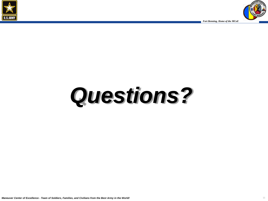



# *Questions?*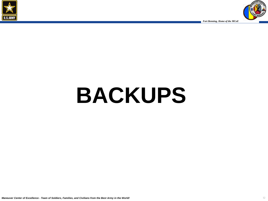



# **BACKUPS**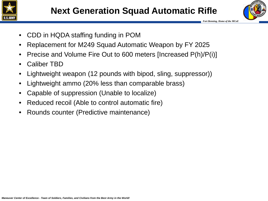



- CDD in HQDA staffing funding in POM
- Replacement for M249 Squad Automatic Weapon by FY 2025
- Precise and Volume Fire Out to 600 meters [Increased P(h)/P(i)]
- Caliber TBD
- Lightweight weapon (12 pounds with bipod, sling, suppressor))
- Lightweight ammo (20% less than comparable brass)
- Capable of suppression (Unable to localize)
- Reduced recoil (Able to control automatic fire)
- Rounds counter (Predictive maintenance)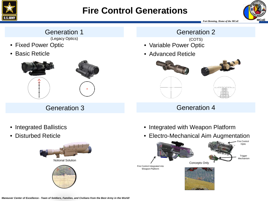

## **Fire Control Generations**



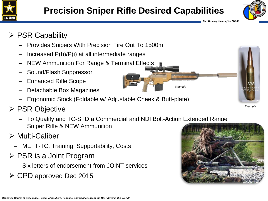



*Example*

### $\triangleright$  PSR Capability

- Provides Snipers With Precision Fire Out To 1500m
- Increased P(h)/P(i) at all intermediate ranges
- NEW Ammunition For Range & Terminal Effects
- Sound/Flash Suppressor
- Enhanced Rifle Scope
- Detachable Box Magazines
- Ergonomic Stock (Foldable w/ Adjustable Cheek & Butt-plate)
- **≻ PSR Objective** 
	- To Qualify and TC-STD a Commercial and NDI Bolt-Action Extended Range Sniper Rifle & NEW Ammunition

### Multi-Caliber

- METT-TC, Training, Supportability, Costs
- $\triangleright$  PSR is a Joint Program
	- Six letters of endorsement from JOINT services
- CPD approved Dec 2015



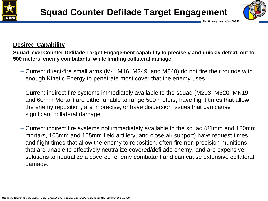



#### **Desired Capability**

**Squad level Counter Defilade Target Engagement capability to precisely and quickly defeat, out to 500 meters, enemy combatants, while limiting collateral damage.**

- Current direct-fire small arms (M4, M16, M249, and M240) do not fire their rounds with enough Kinetic Energy to penetrate most cover that the enemy uses.
- Current indirect fire systems immediately available to the squad (M203, M320, MK19, and 60mm Mortar) are either unable to range 500 meters, have flight times that allow the enemy reposition, are imprecise, or have dispersion issues that can cause significant collateral damage.
- Current indirect fire systems not immediately available to the squad (81mm and 120mm mortars, 105mm and 155mm field artillery, and close air support) have request times and flight times that allow the enemy to reposition, often fire non-precision munitions that are unable to effectively neutralize covered/defilade enemy, and are expensive solutions to neutralize a covered enemy combatant and can cause extensive collateral damage.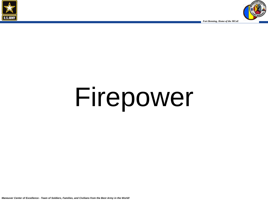



# Firepower

*Maneuver Center of Excellence - Team of Soldiers, Families, and Civilians from the Best Army in the World!*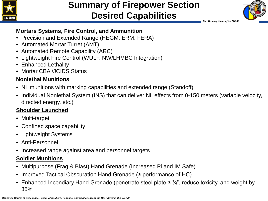

### **Summary of Firepower Section Desired Capabilities**



 *Fort Benning, Home of the MCoE* 

#### **Mortars Systems, Fire Control, and Ammunition**

- Precision and Extended Range (HEGM, ERM, FERA)
- Automated Mortar Turret (AMT)
- Automated Remote Capability (ARC)
- Lightweight Fire Control (WULF, NW/LHMBC Integration)
- Enhanced Lethality
- Mortar CBA /JCIDS Status

#### **Nonlethal Munitions**

- NL munitions with marking capabilities and extended range (Standoff)
- Individual Nonlethal System (INS) that can deliver NL effects from 0-150 meters (variable velocity, directed energy, etc.)

#### **Shoulder Launched**

- Multi-target
- Confined space capability
- Lightweight Systems
- Anti-Personnel
- Increased range against area and personnel targets

#### **Soldier Munitions**

- Multipurpose (Frag & Blast) Hand Grenade (Increased Pi and IM Safe)
- Improved Tactical Obscuration Hand Grenade (≥ performance of HC)
- Enhanced Incendiary Hand Grenade (penetrate steel plate  $\geq \frac{3}{4}$ ", reduce toxicity, and weight by 35%